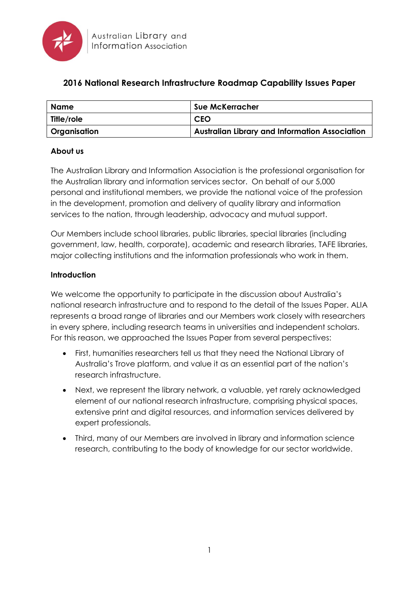

# **2016 National Research Infrastructure Roadmap Capability Issues Paper**

| <b>Name</b>  | <b>Sue McKerracher</b>                                |
|--------------|-------------------------------------------------------|
| Title/role   | <b>CEO</b>                                            |
| Organisation | <b>Australian Library and Information Association</b> |

#### **About us**

The Australian Library and Information Association is the professional organisation for the Australian library and information services sector. On behalf of our 5,000 personal and institutional members, we provide the national voice of the profession in the development, promotion and delivery of quality library and information services to the nation, through leadership, advocacy and mutual support.

Our Members include school libraries, public libraries, special libraries (including government, law, health, corporate), academic and research libraries, TAFE libraries, major collecting institutions and the information professionals who work in them.

#### **Introduction**

We welcome the opportunity to participate in the discussion about Australia's national research infrastructure and to respond to the detail of the Issues Paper. ALIA represents a broad range of libraries and our Members work closely with researchers in every sphere, including research teams in universities and independent scholars. For this reason, we approached the Issues Paper from several perspectives:

- First, humanities researchers tell us that they need the National Library of Australia's Trove platform, and value it as an essential part of the nation's research infrastructure.
- Next, we represent the library network, a valuable, yet rarely acknowledged element of our national research infrastructure, comprising physical spaces, extensive print and digital resources, and information services delivered by expert professionals.
- Third, many of our Members are involved in library and information science research, contributing to the body of knowledge for our sector worldwide.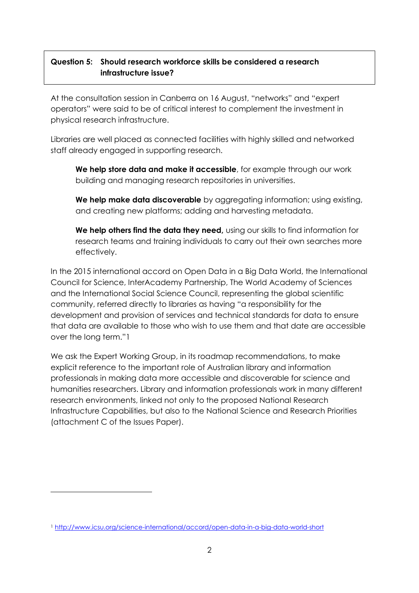## **Question 5: Should research workforce skills be considered a research infrastructure issue?**

At the consultation session in Canberra on 16 August, "networks" and "expert operators" were said to be of critical interest to complement the investment in physical research infrastructure.

Libraries are well placed as connected facilities with highly skilled and networked staff already engaged in supporting research.

**We help store data and make it accessible**, for example through our work building and managing research repositories in universities.

**We help make data discoverable** by aggregating information; using existing, and creating new platforms; adding and harvesting metadata.

**We help others find the data they need,** using our skills to find information for research teams and training individuals to carry out their own searches more effectively.

In the 2015 international accord on Open Data in a Big Data World, the International Council for Science, InterAcademy Partnership, The World Academy of Sciences and the International Social Science Council, representing the global scientific community, referred directly to libraries as having "a responsibility for the development and provision of services and technical standards for data to ensure that data are available to those who wish to use them and that date are accessible over the long term."1

We ask the Expert Working Group, in its roadmap recommendations, to make explicit reference to the important role of Australian library and information professionals in making data more accessible and discoverable for science and humanities researchers. Library and information professionals work in many different research environments, linked not only to the proposed National Research Infrastructure Capabilities, but also to the National Science and Research Priorities (attachment C of the Issues Paper).

 $\overline{a}$ 

<sup>1</sup> <http://www.icsu.org/science-international/accord/open-data-in-a-big-data-world-short>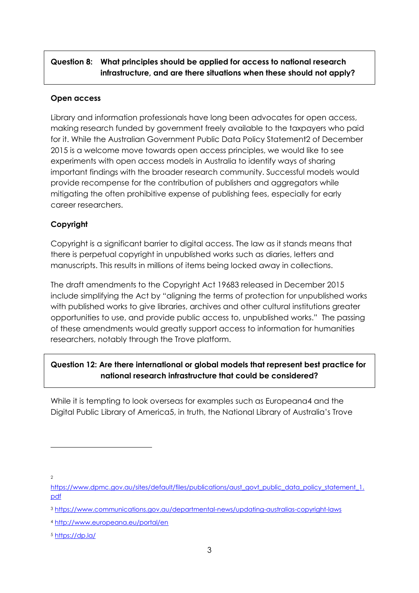# **Question 8: What principles should be applied for access to national research infrastructure, and are there situations when these should not apply?**

#### **Open access**

Library and information professionals have long been advocates for open access, making research funded by government freely available to the taxpayers who paid for it. While the Australian Government Public Data Policy Statement2 of December 2015 is a welcome move towards open access principles, we would like to see experiments with open access models in Australia to identify ways of sharing important findings with the broader research community. Successful models would provide recompense for the contribution of publishers and aggregators while mitigating the often prohibitive expense of publishing fees, especially for early career researchers.

### **Copyright**

Copyright is a significant barrier to digital access. The law as it stands means that there is perpetual copyright in unpublished works such as diaries, letters and manuscripts. This results in millions of items being locked away in collections.

The draft amendments to the Copyright Act 19683 released in December 2015 include simplifying the Act by "aligning the terms of protection for unpublished works with published works to give libraries, archives and other cultural institutions greater opportunities to use, and provide public access to, unpublished works." The passing of these amendments would greatly support access to information for humanities researchers, notably through the Trove platform.

# **Question 12: Are there international or global models that represent best practice for national research infrastructure that could be considered?**

While it is tempting to look overseas for examples such as Europeana4 and the Digital Public Library of America5, in truth, the National Library of Australia's Trove

 $\gamma$ 

-

[https://www.dpmc.gov.au/sites/default/files/publications/aust\\_govt\\_public\\_data\\_policy\\_statement\\_1.](https://www.dpmc.gov.au/sites/default/files/publications/aust_govt_public_data_policy_statement_1.pdf) [pdf](https://www.dpmc.gov.au/sites/default/files/publications/aust_govt_public_data_policy_statement_1.pdf)

<sup>3</sup> <https://www.communications.gov.au/departmental-news/updating-australias-copyright-laws>

<sup>4</sup> <http://www.europeana.eu/portal/en>

<sup>5</sup> <https://dp.la/>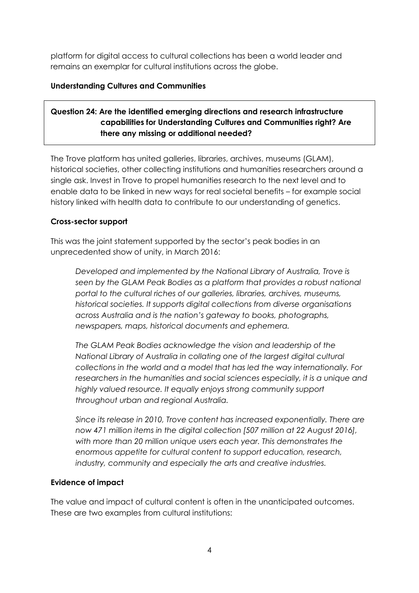platform for digital access to cultural collections has been a world leader and remains an exemplar for cultural institutions across the globe.

### **Understanding Cultures and Communities**

# **Question 24: Are the identified emerging directions and research infrastructure capabilities for Understanding Cultures and Communities right? Are there any missing or additional needed?**

The Trove platform has united galleries, libraries, archives, museums (GLAM), historical societies, other collecting institutions and humanities researchers around a single ask. Invest in Trove to propel humanities research to the next level and to enable data to be linked in new ways for real societal benefits – for example social history linked with health data to contribute to our understanding of genetics.

### **Cross-sector support**

This was the joint statement supported by the sector's peak bodies in an unprecedented show of unity, in March 2016:

*Developed and implemented by the National Library of Australia, Trove is*  seen by the GLAM Peak Bodies as a platform that provides a robust national *portal to the cultural riches of our galleries, libraries, archives, museums, historical societies. It supports digital collections from diverse organisations across Australia and is the nation's gateway to books, photographs, newspapers, maps, historical documents and ephemera.*

*The GLAM Peak Bodies acknowledge the vision and leadership of the National Library of Australia in collating one of the largest digital cultural collections in the world and a model that has led the way internationally. For researchers in the humanities and social sciences especially, it is a unique and highly valued resource. It equally enjoys strong community support throughout urban and regional Australia.*

*Since its release in 2010, Trove content has increased exponentially. There are now 471 million items in the digital collection [507 million at 22 August 2016], with more than 20 million unique users each year. This demonstrates the enormous appetite for cultural content to support education, research, industry, community and especially the arts and creative industries.* 

### **Evidence of impact**

The value and impact of cultural content is often in the unanticipated outcomes. These are two examples from cultural institutions: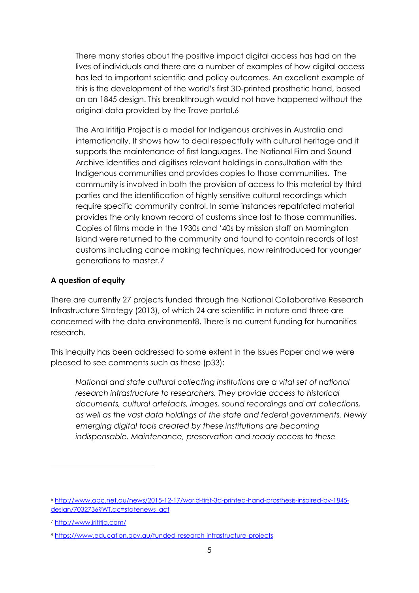There many stories about the positive impact digital access has had on the lives of individuals and there are a number of examples of how digital access has led to important scientific and policy outcomes. An excellent example of this is the development of the world's first 3D-printed prosthetic hand, based on an 1845 design. This breakthrough would not have happened without the original data provided by the Trove portal.6

The Ara Irititja Project is a model for Indigenous archives in Australia and internationally. It shows how to deal respectfully with cultural heritage and it supports the maintenance of first languages. The National Film and Sound Archive identifies and digitises relevant holdings in consultation with the Indigenous communities and provides copies to those communities. The community is involved in both the provision of access to this material by third parties and the identification of highly sensitive cultural recordings which require specific community control. In some instances repatriated material provides the only known record of customs since lost to those communities. Copies of films made in the 1930s and '40s by mission staff on Mornington Island were returned to the community and found to contain records of lost customs including canoe making techniques, now reintroduced for younger generations to master.7

#### **A question of equity**

There are currently 27 projects funded through the National Collaborative Research Infrastructure Strategy (2013), of which 24 are scientific in nature and three are concerned with the data environment8. There is no current funding for humanities research.

This inequity has been addressed to some extent in the Issues Paper and we were pleased to see comments such as these (p33):

*National and state cultural collecting institutions are a vital set of national research infrastructure to researchers. They provide access to historical documents, cultural artefacts, images, sound recordings and art collections, as well as the vast data holdings of the state and federal governments. Newly emerging digital tools created by these institutions are becoming indispensable. Maintenance, preservation and ready access to these* 

 $\overline{a}$ 

<sup>6</sup> [http://www.abc.net.au/news/2015-12-17/world-first-3d-printed-hand-prosthesis-inspired-by-1845](http://www.abc.net.au/news/2015-12-17/world-first-3d-printed-hand-prosthesis-inspired-by-1845-design/7032736?WT.ac=statenews_act) design/7032736?WT.ac=statenews\_act

<sup>7</sup> <http://www.irititja.com/>

<sup>8</sup> <https://www.education.gov.au/funded-research-infrastructure-projects>